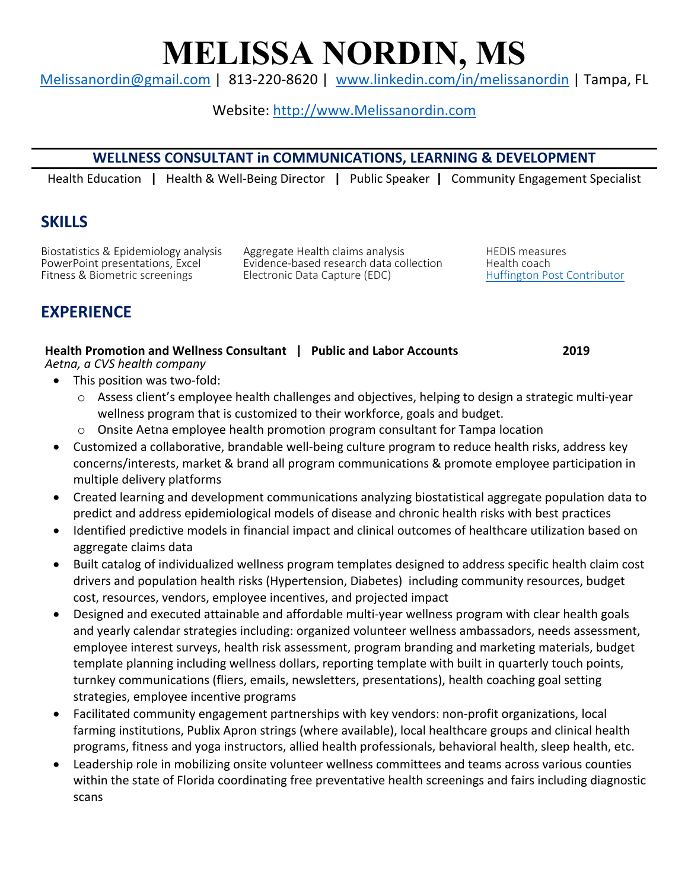# **MELISSA NORDIN, MS**

Melissanordin@gmail.com | 813-220-8620 | www.linkedin.com/in/melissanordin | Tampa, FL

## Website: http://www.Melissanordin.com

### **WELLNESS CONSULTANT in COMMUNICATIONS, LEARNING & DEVELOPMENT**

Health Education **|** Health & Well-Being Director **|** Public Speaker **|** Community Engagement Specialist

# **SKILLS**

Biostatistics & Epidemiology analysis degregate Health claims analysis http://en.com/measuresive.com<br>PowerPoint presentations, Excel http://en.ce-based research data collection http://ealth.coach Evidence-based research data collection Health coach Fitness & Biometric screenings Electronic Data Capture (EDC) The Huffington Post Contributor

# **EXPERIENCE**

| Health Promotion and Wellness Consultant   Public and Labor Accounts | 2019 |
|----------------------------------------------------------------------|------|
| Aetna, a CVS health company                                          |      |

- This position was two-fold:
	- $\circ$  Assess client's employee health challenges and objectives, helping to design a strategic multi-year wellness program that is customized to their workforce, goals and budget.
	- o Onsite Aetna employee health promotion program consultant for Tampa location
- Customized a collaborative, brandable well-being culture program to reduce health risks, address key concerns/interests, market & brand all program communications & promote employee participation in multiple delivery platforms
- Created learning and development communications analyzing biostatistical aggregate population data to predict and address epidemiological models of disease and chronic health risks with best practices
- Identified predictive models in financial impact and clinical outcomes of healthcare utilization based on aggregate claims data
- Built catalog of individualized wellness program templates designed to address specific health claim cost drivers and population health risks (Hypertension, Diabetes) including community resources, budget cost, resources, vendors, employee incentives, and projected impact
- Designed and executed attainable and affordable multi-year wellness program with clear health goals and yearly calendar strategies including: organized volunteer wellness ambassadors, needs assessment, employee interest surveys, health risk assessment, program branding and marketing materials, budget template planning including wellness dollars, reporting template with built in quarterly touch points, turnkey communications (fliers, emails, newsletters, presentations), health coaching goal setting strategies, employee incentive programs
- Facilitated community engagement partnerships with key vendors: non-profit organizations, local farming institutions, Publix Apron strings (where available), local healthcare groups and clinical health programs, fitness and yoga instructors, allied health professionals, behavioral health, sleep health, etc.
- Leadership role in mobilizing onsite volunteer wellness committees and teams across various counties within the state of Florida coordinating free preventative health screenings and fairs including diagnostic scans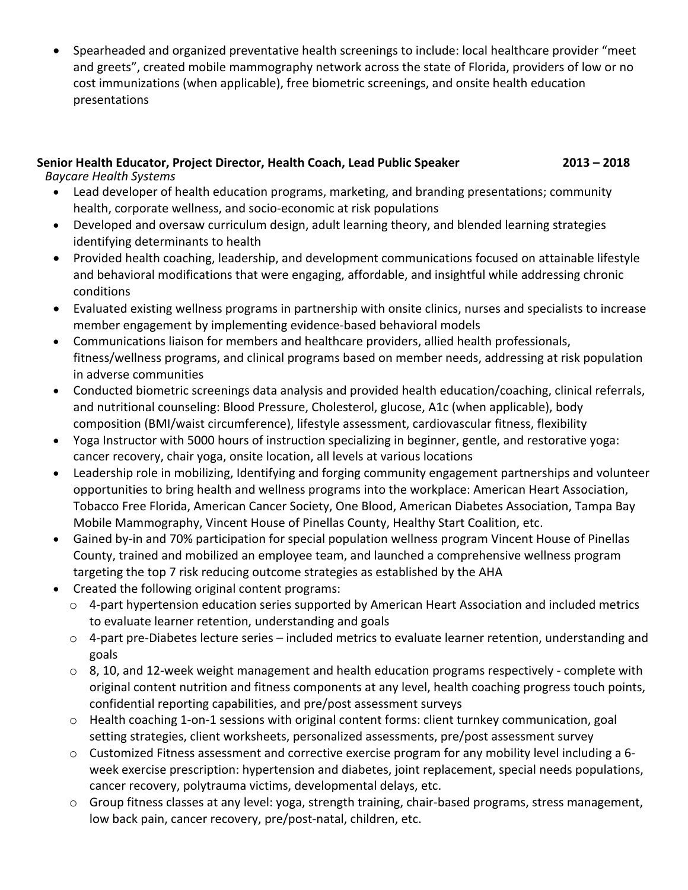• Spearheaded and organized preventative health screenings to include: local healthcare provider "meet and greets", created mobile mammography network across the state of Florida, providers of low or no cost immunizations (when applicable), free biometric screenings, and onsite health education presentations

#### **Senior Health Educator, Project Director, Health Coach, Lead Public Speaker 2013 – 2018**

*Baycare Health Systems* 

- Lead developer of health education programs, marketing, and branding presentations; community health, corporate wellness, and socio-economic at risk populations
- Developed and oversaw curriculum design, adult learning theory, and blended learning strategies identifying determinants to health
- Provided health coaching, leadership, and development communications focused on attainable lifestyle and behavioral modifications that were engaging, affordable, and insightful while addressing chronic conditions
- Evaluated existing wellness programs in partnership with onsite clinics, nurses and specialists to increase member engagement by implementing evidence-based behavioral models
- Communications liaison for members and healthcare providers, allied health professionals, fitness/wellness programs, and clinical programs based on member needs, addressing at risk population in adverse communities
- Conducted biometric screenings data analysis and provided health education/coaching, clinical referrals, and nutritional counseling: Blood Pressure, Cholesterol, glucose, A1c (when applicable), body composition (BMI/waist circumference), lifestyle assessment, cardiovascular fitness, flexibility
- Yoga Instructor with 5000 hours of instruction specializing in beginner, gentle, and restorative yoga: cancer recovery, chair yoga, onsite location, all levels at various locations
- Leadership role in mobilizing, Identifying and forging community engagement partnerships and volunteer opportunities to bring health and wellness programs into the workplace: American Heart Association, Tobacco Free Florida, American Cancer Society, One Blood, American Diabetes Association, Tampa Bay Mobile Mammography, Vincent House of Pinellas County, Healthy Start Coalition, etc.
- Gained by-in and 70% participation for special population wellness program Vincent House of Pinellas County, trained and mobilized an employee team, and launched a comprehensive wellness program targeting the top 7 risk reducing outcome strategies as established by the AHA
- Created the following original content programs:
	- o 4-part hypertension education series supported by American Heart Association and included metrics to evaluate learner retention, understanding and goals
	- o 4-part pre-Diabetes lecture series included metrics to evaluate learner retention, understanding and goals
	- $\circ$  8, 10, and 12-week weight management and health education programs respectively complete with original content nutrition and fitness components at any level, health coaching progress touch points, confidential reporting capabilities, and pre/post assessment surveys
	- o Health coaching 1-on-1 sessions with original content forms: client turnkey communication, goal setting strategies, client worksheets, personalized assessments, pre/post assessment survey
	- o Customized Fitness assessment and corrective exercise program for any mobility level including a 6 week exercise prescription: hypertension and diabetes, joint replacement, special needs populations, cancer recovery, polytrauma victims, developmental delays, etc.
	- o Group fitness classes at any level: yoga, strength training, chair-based programs, stress management, low back pain, cancer recovery, pre/post-natal, children, etc.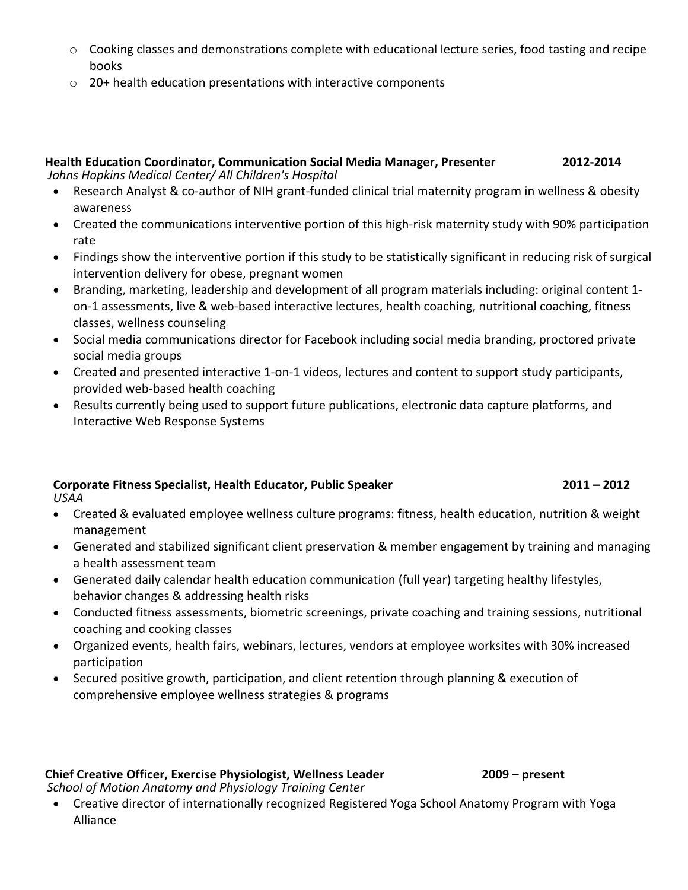- o Cooking classes and demonstrations complete with educational lecture series, food tasting and recipe books
- o 20+ health education presentations with interactive components

|                                                       | <b>Health Education Coordinator, Communication Social Media Manager, Presenter</b> | 2012-2014 |
|-------------------------------------------------------|------------------------------------------------------------------------------------|-----------|
| Johns Hopkins Medical Center/ All Children's Hospital |                                                                                    |           |

- Research Analyst & co-author of NIH grant-funded clinical trial maternity program in wellness & obesity awareness
- Created the communications interventive portion of this high-risk maternity study with 90% participation rate
- Findings show the interventive portion if this study to be statistically significant in reducing risk of surgical intervention delivery for obese, pregnant women
- Branding, marketing, leadership and development of all program materials including: original content 1 on-1 assessments, live & web-based interactive lectures, health coaching, nutritional coaching, fitness classes, wellness counseling
- Social media communications director for Facebook including social media branding, proctored private social media groups
- Created and presented interactive 1-on-1 videos, lectures and content to support study participants, provided web-based health coaching
- Results currently being used to support future publications, electronic data capture platforms, and Interactive Web Response Systems

#### **Corporate Fitness Specialist, Health Educator, Public Speaker 2011 – 2012** *USAA*

- Created & evaluated employee wellness culture programs: fitness, health education, nutrition & weight management
- Generated and stabilized significant client preservation & member engagement by training and managing a health assessment team
- Generated daily calendar health education communication (full year) targeting healthy lifestyles, behavior changes & addressing health risks
- Conducted fitness assessments, biometric screenings, private coaching and training sessions, nutritional coaching and cooking classes
- Organized events, health fairs, webinars, lectures, vendors at employee worksites with 30% increased participation
- Secured positive growth, participation, and client retention through planning & execution of comprehensive employee wellness strategies & programs

#### **Chief Creative Officer, Exercise Physiologist, Wellness Leader 2009 – present**

*School of Motion Anatomy and Physiology Training Center*

- 
- Creative director of internationally recognized Registered Yoga School Anatomy Program with Yoga Alliance